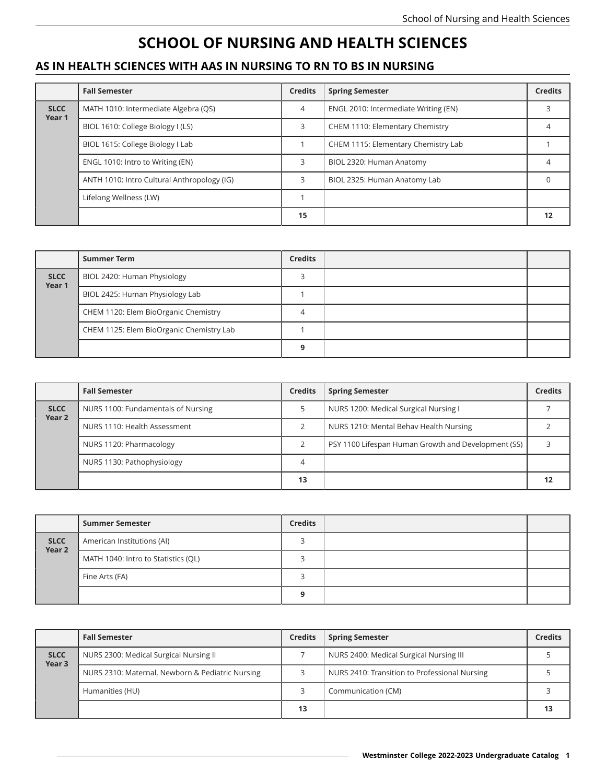## **SCHOOL OF NURSING AND HEALTH SCIENCES**

## **AS IN HEALTH SCIENCES WITH AAS IN NURSING TO RN TO BS IN NURSING**

|                       | <b>Fall Semester</b>                        | <b>Credits</b> | <b>Spring Semester</b>               | <b>Credits</b> |
|-----------------------|---------------------------------------------|----------------|--------------------------------------|----------------|
| <b>SLCC</b><br>Year 1 | MATH 1010: Intermediate Algebra (QS)        | 4              | ENGL 2010: Intermediate Writing (EN) |                |
|                       | BIOL 1610: College Biology I (LS)           | З              | CHEM 1110: Elementary Chemistry      |                |
|                       | BIOL 1615: College Biology I Lab            |                | CHEM 1115: Elementary Chemistry Lab  |                |
|                       | ENGL 1010: Intro to Writing (EN)            |                | BIOL 2320: Human Anatomy             |                |
|                       | ANTH 1010: Intro Cultural Anthropology (IG) |                | BIOL 2325: Human Anatomy Lab         |                |
|                       | Lifelong Wellness (LW)                      |                |                                      |                |
|                       |                                             | 15             |                                      | 12             |

|                       | <b>Summer Term</b>                       | <b>Credits</b> |  |
|-----------------------|------------------------------------------|----------------|--|
| <b>SLCC</b><br>Year 1 | BIOL 2420: Human Physiology              |                |  |
|                       | BIOL 2425: Human Physiology Lab          |                |  |
|                       | CHEM 1120: Elem BioOrganic Chemistry     |                |  |
|                       | CHEM 1125: Elem BioOrganic Chemistry Lab |                |  |
|                       |                                          |                |  |

|                       | <b>Fall Semester</b>               | <b>Credits</b> | <b>Spring Semester</b>                              | <b>Credits</b> |
|-----------------------|------------------------------------|----------------|-----------------------------------------------------|----------------|
| <b>SLCC</b><br>Year 2 | NURS 1100: Fundamentals of Nursing |                | NURS 1200: Medical Surgical Nursing I               |                |
|                       | NURS 1110: Health Assessment       |                | NURS 1210: Mental Behav Health Nursing              |                |
|                       | NURS 1120: Pharmacology            |                | PSY 1100 Lifespan Human Growth and Development (SS) |                |
|                       | NURS 1130: Pathophysiology         |                |                                                     |                |
|                       |                                    | 13             |                                                     |                |

|                       | <b>Summer Semester</b>              | <b>Credits</b> |  |
|-----------------------|-------------------------------------|----------------|--|
| <b>SLCC</b><br>Year 2 | American Institutions (AI)          |                |  |
|                       | MATH 1040: Intro to Statistics (QL) |                |  |
|                       | Fine Arts (FA)                      |                |  |
|                       |                                     | Ω              |  |

|                                  | <b>Fall Semester</b>                             | <b>Credits</b> | <b>Spring Semester</b>                        | <b>Credits</b> |
|----------------------------------|--------------------------------------------------|----------------|-----------------------------------------------|----------------|
| <b>SLCC</b><br>Year <sub>3</sub> | NURS 2300: Medical Surgical Nursing II           |                | NURS 2400: Medical Surgical Nursing III       |                |
|                                  | NURS 2310: Maternal, Newborn & Pediatric Nursing |                | NURS 2410: Transition to Professional Nursing |                |
|                                  | Humanities (HU)                                  |                | Communication (CM)                            |                |
|                                  |                                                  | 13             |                                               | 13             |